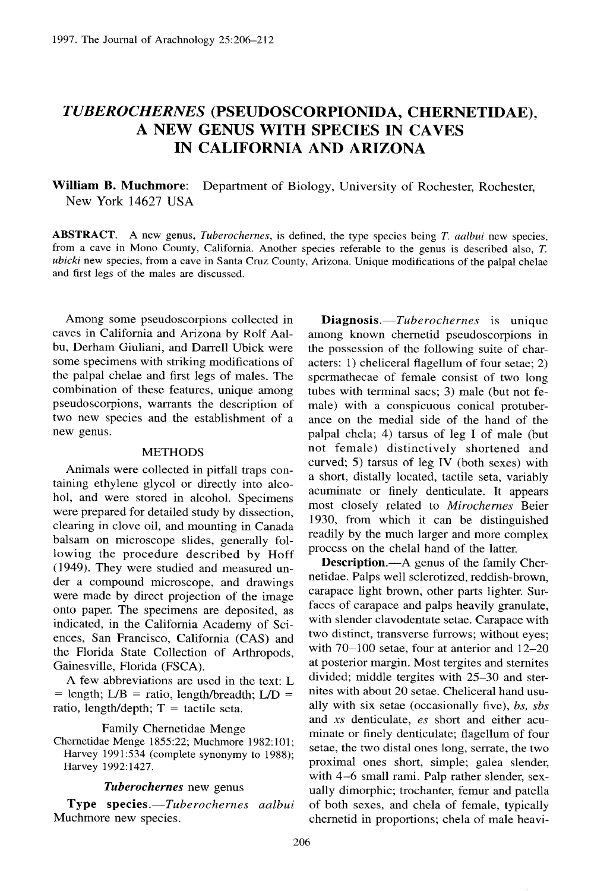# *TUBEROCHERNES* **(PSEUDOSCORPIONIDA, CHERNETIDAE) ,** A NEW GENUS WITH SPECIES IN CAVES **IN CALIFORNIA AND ARIZONA**

**William B . Muchmore :** Department of Biology, University of Rochester, Rochester, New York 14627 USA

**ABSTRACT .** A new genus, *Tuberochernes, is* defined, the type species being *T. aalbui* new species , from a cave in Mono County, California. Another species referable to the genus is described also, T. *ubicki* new species, from a cave in Santa Cruz County, Arizona . Unique modifications of the palpal chelae and first legs of the males are discussed.

Among some pseudoscorpions collected in caves in California and Arizona by Rolf Aalbu, Derham Giuliani, and Darrell Ubick were some specimens with striking modifications of the palpal chelae and first legs of males. The combination of these features, unique among pseudoscorpions, warrants the description of two new species and the establishment of a new genus.

#### **METHODS**

Animals were collected in pitfall traps containing ethylene glycol or directly into alcohol, and were stored in alcohol. Specimens were prepared for detailed study by dissection, clearing in clove oil, and mounting in Canada balsam on microscope slides, generally following the procedure described by Hoff (1949). They were studied and measured under a compound microscope, and drawings were made by direct projection of the image onto paper. The specimens are deposited, as indicated, in the California Academy of Sciences, San Francisco, California (CAS) and the Florida State Collection of Arthropods, Gainesville, Florida (FSCA).

A few abbreviations are used in the text: L  $=$  length; L/B  $=$  ratio, length/breadth; L/D  $=$ ratio, length/depth;  $T =$  tactile seta.

Family Chernetidae Menge

Chernetidae Menge 1855:22; Muchmore 1982:101; Harvey 1991:534 (complete synonymy to 1988); Harvey 1992:1427.

#### *Tuberochernes* new genus

**Type species.**—Tuberochernes aalbui Muchmore new species .

**Diagnosis .** —Tuberochernes is unique among known chernetid pseudoscorpions in the possession of the following suite of characters: 1) cheliceral flagellum of four setae;  $2$ ) spermathecae of female consist of two long tubes with terminal sacs; 3) male (but not female) with a conspicuous conical protuberance on the medial side of the hand of the palpal chela; 4) tarsus of leg I of male (but not female) distinctively shortened and curved; 5) tarsus of leg IV (both sexes) with a short, distally located, tactile seta, variably acuminate or finely denticulate. It appears most closely related to *Mirochernes* Beier 1930, from which it can be distinguished readily by the much larger and more complex process on the chelal hand of the latter.

**Description.—A** genus of the family Chernetidae . Palps well sclerotized, reddish-brown, carapace light brown, other parts lighter. Surfaces of carapace and palps heavily granulate, with slender clavodentate setae. Carapace with two distinct, transverse furrows; without eyes; with  $70-100$  setae, four at anterior and  $12-20$ at posterior margin. Most tergites and sternites divided; middle tergites with 25-30 and sternites with about 20 setae. Cheliceral hand usually with six setae (occasionally five), *bs, sbs* and xs denticulate, *es* short and either acuminate or finely denticulate; flagellum of four setae, the two distal ones long, serrate, the two proximal ones short, simple; galea slender, with 4-6 small rami. Palp rather slender, sexually dimorphic; trochanter, femur and patella of both sexes, and chela of female, typically chernetid in proportions; chela of male heavi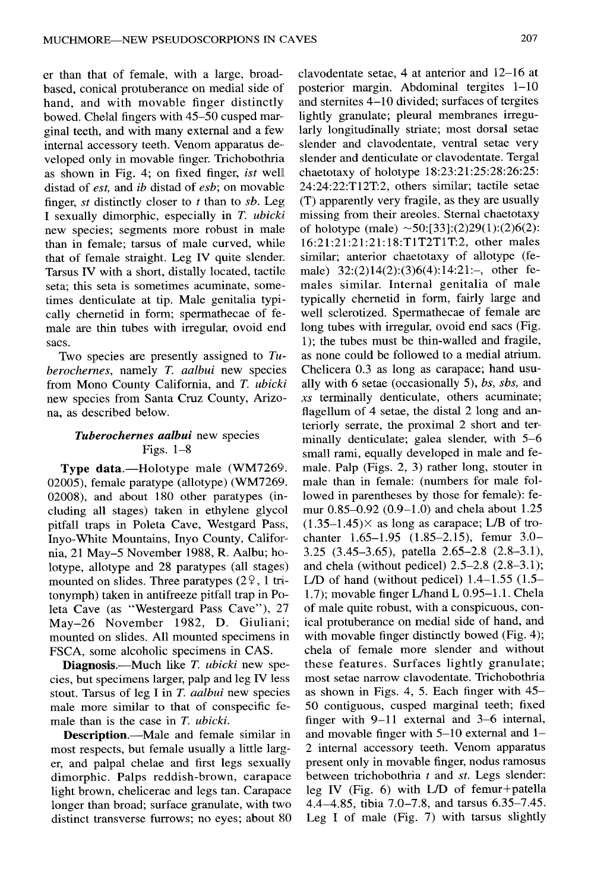er than that of female, with a large, broadbased, conical protuberance on medial side of hand, and with movable finger distinctly bowed. Chelal fingers with 45-50 cusped marginal teeth, and with many external and a few internal accessory teeth. Venom apparatus developed only in movable finger. Trichobothria as shown in Fig. 4; on fixed finger, *ist* well distad of *est,* and *ib* distad of *esb ;* on movable finger, st distinctly closer to *t* than to *sb.* Leg I sexually dimorphic, especially in *T. ubicki* new species; segments more robust in male than in female; tarsus of male curved, while that of female straight. Leg IV quite slender. Tarsus IV with a short, distally located, tactile seta: this seta is sometimes acuminate, sometimes denticulate at tip. Male genitalia typically chernetid in form; spermathecae of female are thin tubes with irregular, ovoid end sacs .

Two species are presently assigned to *Tuberochernes,* namely T. *aalbui* new species from Mono County California, and *T. ubicki* new species from Santa Cruz County, Arizona, as described below.

# *Tuberochernes aalbui* new species Figs.  $1-8$

**Type data.—Holotype male (WM7269.** 02005), female paratype (allotype) (WM7269. 02008), and about 180 other paratypes (including all stages) taken in ethylene glycol pitfall traps in Poleta Cave, Westgard Pass, Inyo-White Mountains, Inyo County, California, 21 May—5 November 1988, R . Aalbu; holotype, allotype and 28 paratypes (all stages) mounted on slides. Three paratypes  $(2<sup>o</sup>, 1<sup>o</sup>)$ tonymph) taken in antifreeze pitfall trap in Poleta Cave (as "Westergard Pass Cave"), 27 May-26 November 1982, D. Giuliani; mounted on slides. All mounted specimens in FSCA, some alcoholic specimens in CAS .

**Diagnosis.**—Much like *T. ubicki* new species, but specimens larger, palp and leg IV less stout. Tarsus of leg I in *T. aalbui* new species male more similar to that of conspecific female than is the case in *T. ubicki*.

**Description.**—Male and female similar in most respects, but female usually a little larger, and palpal chelae and first legs sexually dimorphic. Palps reddish-brown, carapace light brown, chelicerae and legs tan. Carapace longer than broad; surface granulate, with two distinct transverse furrows; no eyes; about 80

clavodentate setae, 4 at anterior and 12—16 at posterior margin. Abdominal tergites 1—10 and sternites  $4-10$  divided; surfaces of tergites lightly granulate; pleural membranes irregularly longitudinally striate; most dorsal setae slender and clavodentate, ventral setae very slender and denticulate or clavodentate. Tergal chaetotaxy of holotype 18:23:21:25:28:26:25:  $24:24:22:TT12T:2$ , others similar; tactile setae (T) apparently very fragile, as they are usuall y missing from their areoles. Sternal chaetotaxy of holotype (male)  $\sim$  50:[33]:(2)29(1):(2)6(2): 16:21 :21 :21:21 :18:T1T2TIT:2, other males similar; anterior chaetotaxy of allotype (female) 32:(2)14(2):(3)6(4):14:21:-, other females similar. Internal genitalia of male typically chernetid in form, fairly large and well sclerotized. Spermathecae of female are long tubes with irregular, ovoid end sacs (Fig. 1); the tubes must be thin-walled and fragile, as none could be followed to a medial atrium. Chelicera 0.3 as long as carapace; hand usually with 6 setae (occasionally *5), bs, sbs,* and xs terminally denticulate, others acuminate; flagellum of 4 setae, the distal 2 long and anteriorly serrate, the proximal 2 short and terminally denticulate; galea slender, with  $5-6$ small rami, equally developed in male and female. Palp (Figs.  $2$ ,  $3$ ) rather long, stouter in male than in female: (numbers for male followed in parentheses by those for female): femur  $0.85 - 0.92$   $(0.9 - 1.0)$  and chela about 1.25  $(1.35-1.45)$ × as long as carapace; L/B of trochanter 1.65-1.95 (1.85-2.15), femur 3.0-3.25 (3.45–3.65), patella 2.65–2.8 (2.8–3.1), and chela (without pedicel)  $2.5-2.8$   $(2.8-3.1)$ ; L/D of hand (without pedicel)  $1.4-1.55$  (1.5– 1.7); movable finger L/hand L  $0.95-1.1$ . Chela of male quite robust, with a conspicuous, conical protuberance on medial side of hand, and with movable finger distinctly bowed (Fig. 4); chela of female more slender and without these features. Surfaces lightly granulate; most setae narrow clavodentate. Trichobothria as shown in Figs. 4, 5. Each finger with  $45-$ 50 contiguous, cusped marginal teeth; fixed finger with 9–11 external and 3–6 internal, and movable finger with  $5-10$  external and  $1-$ 2 internal accessory teeth. Venom apparatus present only in movable finger, nodus ramosus between trichobothria  $t$  and  $st$ . Legs slender: leg IV (Fig. 6) with L/D of femur+patella 4.4—4 .85, tibia 7.0—7 .8, and tarsus 6 .35—7 .45. Leg I of male  $(Fig. 7)$  with tarsus slightly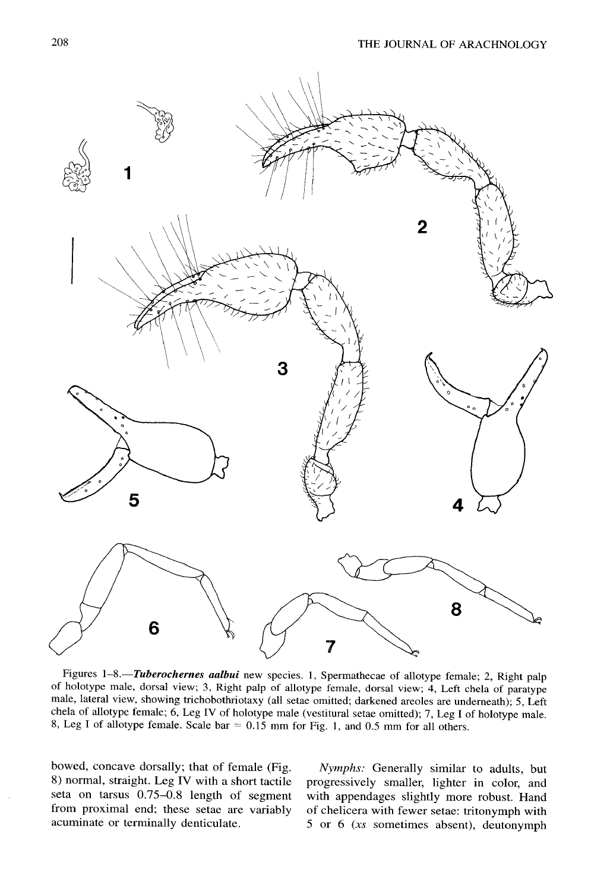

Figures 1-8.-Tuberochernes *aalbui* new species. 1, Spermathecae of allotype female; 2, Right palp of holotype male, dorsal view; 3, Right palp of allotype female, dorsal view; 4, Left chela of paratype male, lateral view, showing trichobothriotaxy (all setae omitted; darkened areoles are underneath); 5, Left chela of allotype female; 6, Leg IV of holotype male (vestitural setae omitted); 7, Leg I of holotype male. 8, Leg I of allotype female. Scale  $bar = 0.15$  mm for Fig. 1, and 0.5 mm for all others.

bowed, concave dorsally; that of female (Fig. *Nymphs:* Generally similar to adults, but 8) normal, straight. Leg IV with a short tactile progressively smaller, lighter in color, and seta on tarsus 0.75–0.8 length of segment with appendages slightly more robust. Hand<br>from proximal end; these setae are variably of chelicera with fewer setae; tritonymph with acuminate or terminally denticulate.

progressively smaller, lighter in color, and of chelicera with fewer setae: tritonymph with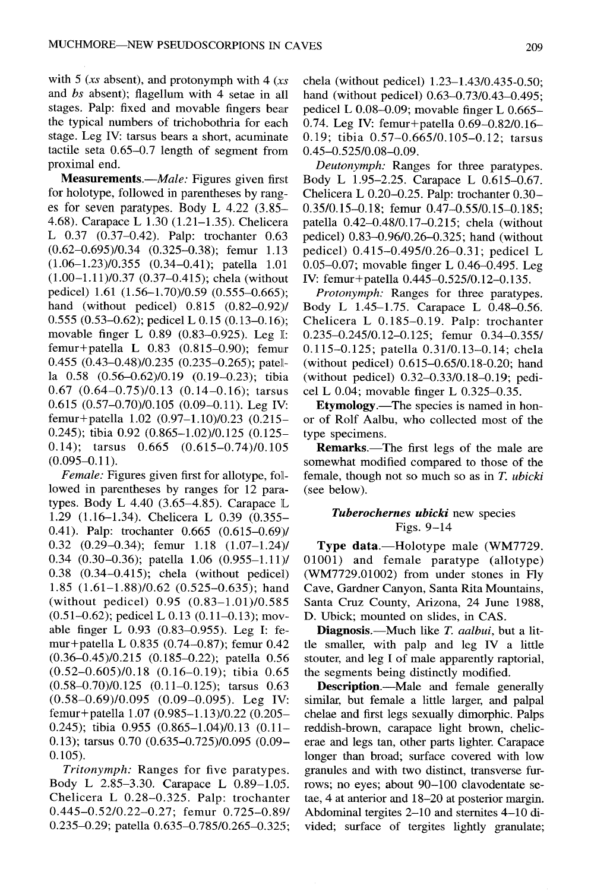with 5 (xs absent), and protonymph with 4 *(xs* and *bs* absent); flagellum with 4 setae in all stages. Palp: fixed and movable fingers bear the typical numbers of trichobothria for each stage. Leg IV: tarsus bears a short, acuminate tactile seta  $0.65-0.7$  length of segment from proximal end.

**Measurements .***Male:* Figures given first for holotype, followed in parentheses by ranges for seven paratypes. Body L  $4.22$  (3.85– 4.68). Carapace L 1 .30 (1.21–1 .35). Chelicera L 0.37 (0.37–0.42). Palp: trochanter 0.63 (0.62–0.695)/0.34 (0.325–0.38); femur 1.13  $(1.06-1.23)/0.355$   $(0.34-0.41)$ ; patella 1.01  $(1.00-1.11)/0.37$   $(0.37-0.415)$ ; chela (without pedicel) 1.61 (1.56–1.70)/0.59 (0.555–0.665); hand (without pedicel) 0.815 (0.82–0.92)/ 0.555 (0.53–0.62); pedicel L 0.15 (0.13–0.16); movable finger L 0.89 (0.83--0.925). Leg I: femur+patella L  $0.83$   $(0.815-0.90)$ ; femur 0.455 (0.43-0.48)/0.235 (0.235-0.265); patella 0.58 (0.56-0.62)/0.19 (0.19-0.23); tibia 0.67  $(0.64-0.75)/0.13$   $(0.14-0.16)$ ; tarsus <sup>0</sup> .615 (0.57–0.70)/0.105 (0.09–0.11). Leg IV: femur+patella 1 .02 (0.97–1 .10)/0.23 (0.215– 0.245); tibia 0.92 (0.865-1.02)/0.125 (0.125-0.14); tarsus  $0.665$   $(0.615-0.74)/0.105$  $(0.095 - 0.11)$ .

*Female:* Figures given first for allotype, followed in parentheses by ranges for 12 paratypes. Body L  $4.40$  (3.65–4.85). Carapace L <sup>1</sup> .29 (1 .16–1.34). Chelicera L 0.39 (0.355 0.41) . Palp: trochanter 0.665 (0.615–0.69)/  $0.32$   $(0.29-0.34)$ ; femur  $1.18$   $(1.07-1.24)$ 0.34 (0.30-0.36); patella  $1.06$  (0.955-1.11)/  $0.38$   $(0.34-0.415)$ ; chela (without pedicel) 1.85  $(1.61-1.88)/0.62$   $(0.525-0.635)$ ; hand (without pedicel) 0.95 (0.83-1.01)/0.585 (0.51–0.62); pedicel L 0.13 (0.11–0.13); movable finger L 0.93 (0.83-0.955). Leg I: femur+patella L 0.835 (0.74–0.87); femur 0.42 (0.36–0.45)/0.215 (0.185–0.22); patella 0.56  $(0.52-0.605)/0.18$   $(0.16-0.19)$ ; tibia 0.65  $(0.58-0.70)/0.125$   $(0.11-0.125)$ ; tarsus 0.63  $(0.58-0.69)/0.095$   $(0.09-0.095)$ . Leg IV: femur+patella 1 .07 (0.985–1.13)/0.22 (0.205– 0.245); tibia 0.955 (0.865-1.04)/0.13 (0.11-0.13); tarsus 0.70 (0.635-0.725)/0.095 (0.09- $0.105$ ).

*Tritonymph:* Ranges for five paratypes. Body L 2.85–3.30. Carapace L 0.89–1.05. Chelicera L 0.28–0.325. Palp: trochanter  $0.445 - 0.52/0.22 - 0.27$ ; femur  $0.725 - 0.89/$ 0.235-0.29; patella 0.635-0.785/0.265-0.325; chela (without pedicel) 1 .23–1 .43/0 .435-0.50; hand (without pedicel) 0.63–0.73/0.43–0.495; pedicel L  $0.08-0.09$ ; movable finger L  $0.665-$ 0.74. Leg IV: femur+patella 0.69-0.82/0.16-0.19; tibia 0.57-0.665/0.105-0.12; tarsus 0 .45–0.525/0 .08–0.09.

*Deutonymph:* Ranges for three paratypes. Body L 1.95–2.25. Carapace L 0.615–0.67. Chelicera L 0.20-0.25. Palp: trochanter 0.30-0.35/0.15–0.18; femur 0.47–0.55/0.15–0.185; patella 0.42–0.48/0.17–0.215; chela (without pedicel) 0.83–0.96/0 .26–0.325; hand (without pedicel) 0.415–0.495/0.26–0.31 ; pedicel L 0 .05–0.07; movable finger L 0 .46–0.495. Leg IV: femur+patella 0.445–0.525/0 .12–0.135 .

*Protonymph:* Ranges for three paratypes. Body L 1 .45–1 .75 . Carapace L 0.48–0.56. Chelicera L 0.185-0.19. Palp: trochanter 0.235–0.245/0.12–0.125; femur 0.34–0.355/ 0.115–0.125; patella 0.31/0.13–0.14; chela (without pedicel) 0.615–0.65/0 .18-0.20; hand (without pedicel) 0.32–0.33/0.18–0.19; pedicel L 0.04; movable finger L 0.325–0.35.

**Etymology.**—The species is named in honor of Rolf Aalbu, who collected most of the type specimens.

**Remarks.**—The first legs of the male are somewhat modified compared to those of the female, though not so much so as in *T. ubicki* (see below).

### *Tuberochernes ubicki* new species Figs. 9–14

**Type data.—Holotype male (WM7729.** 01001) and female paratype (allotype) (WM7729.01002) from under stones in Fly Cave, Gardner Canyon, Santa Rita Mountains , Santa Cruz County, Arizona, 24 **June 1988, D.** Ubick; mounted on slides, in CAS.

**Diagnosis .** —Much like *T. aalbui,* but a little smaller, with palp and leg IV a little stouter, and leg I of male apparently raptorial, the segments being distinctly modified.

**Description.**—Male and female generally similar, but female a little larger, and palpal chelae and first legs sexually dimorphic . Palps reddish-brown, carapace light brown, chelicerae and legs tan, other parts lighter. Carapace longer than broad; surface covered with low granules and with two distinct, transverse furrows; no eyes; about 90–100 clavodentate setae, 4 at anterior and 18–20 at posterior margin. Abdominal tergites 2–10 and sternites 4–10 divided; surface of tergites lightly granulate;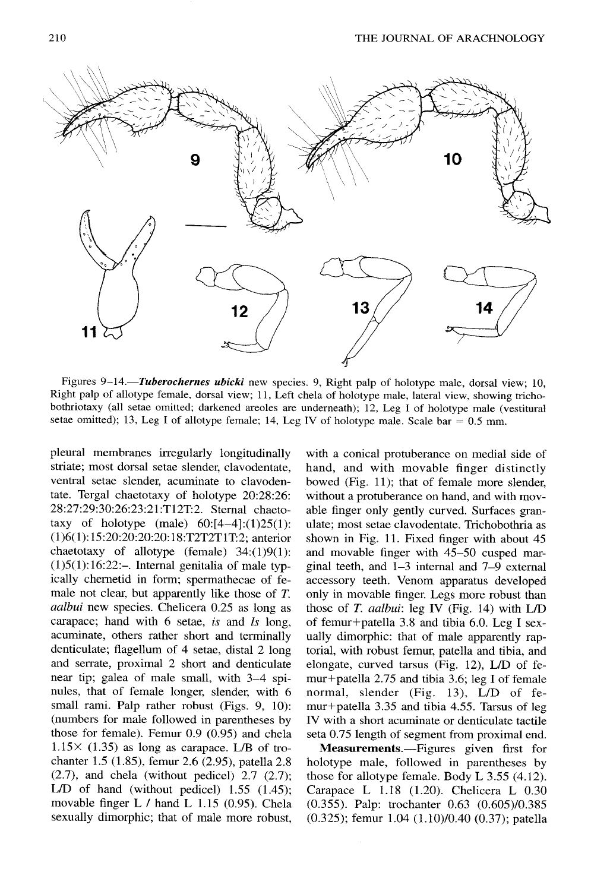

Figures **9-14.—Tuberochernes** *ubicki* new species . *9,* Right palp of holotype male, dorsal view ; 10, Right palp of allotype female, dorsal view; 11, Left chela of holotype male, lateral view, showing trichobothriotaxy (all setae omitted; darkened areoles are underneath); 12, Leg I of holotype male (vestitural setae omitted); 13, Leg I of allotype female; 14, Leg IV of holotype male. Scale bar  $= 0.5$  mm.

pleural membranes irregularly longitudinally striate; most dorsal setae slender, clavodentate, ventral setae slender, acuminate to clavodentate. Tergal chaetotaxy of holotype 20:28:26: 28:27:29 :30:26:23:21 :T12T:2. Sternal chaetotaxy of holotype (male)  $60:[4-4]:(1)25(1)$ : (1)6(1): 15 :20:20: 20: 20 : 18 :T2T2T 1T:2; anterior chaetotaxy of allotype (female)  $34:(1)9(1)$ :  $(1)5(1):16:22:-$  Internal genitalia of male typically chernetid in form; spermathecae of female not clear, but apparently like those of  $T$ . *aalbui* new species. Chelicera 0.25 as long as carapace; hand with 6 setae, *is* and *ls* long, acuminate, others rather short and terminally denticulate; flagellum of 4 setae, distal 2 long and serrate, proximal 2 short and denticulate near tip; galea of male small, with 3—4 spinules, that of female longer, slender, with 6 small rami. Palp rather robust (Figs. 9, 10): (numbers for male followed in parentheses by those for female). Femur 0.9 (0.95) and chela  $1.15 \times (1.35)$  as long as carapace. L/B of trochanter 1.5 (1.85), femur 2.6 (2.95), patella 2.8  $(2.7)$ , and chela (without pedicel) 2.7  $(2.7)$ ; L/D of hand (without pedicel)  $1.55$  (1.45); movable finger  $L /$  hand  $L$  1.15 (0.95). Chela sexually dimorphic; that of male more robust,

with a conical protuberance on medial side of hand, and with movable finger distinctly bowed (Fig.  $11$ ); that of female more slender, without a protuberance on hand, and with movable finger only gently curved. Surfaces granulate; most setae clavodentate. Trichobothria as shown in Fig. 11. Fixed finger with about 45 and movable finger with 45—50 cusped marginal teeth, and  $1-3$  internal and  $7-9$  external accessory teeth. Venom apparatus developed only in movable finger. Legs more robust than those of *T. aalbui*: leg IV (Fig. 14) with  $L/D$ of femur+patella 3.8 and tibia 6.0. Leg I sexually dimorphic: that of male apparently raptorial, with robust femur, patella and tibia, and elongate, curved tarsus (Fig.  $12$ ), L/D of femur+patella  $2.75$  and tibia 3.6; leg I of female normal, slender (Fig. 13), L/D of femur+patella  $3.35$  and tibia 4.55. Tarsus of leg IV with a short acuminate or denticulate tactile seta 0.75 length of segment from proximal end.

**Measurements .—Figures** given first for holotype male, followed in parentheses by those for allotype female. Body  $L$  3.55 (4.12). Carapace L  $1.18$  (1.20). Chelicera L 0.30 (0.355). Palp: trochanter 0.63 (0.605)/0 .385 (0.325); femur 1.04 (1.10)/0.40 (0.37); patella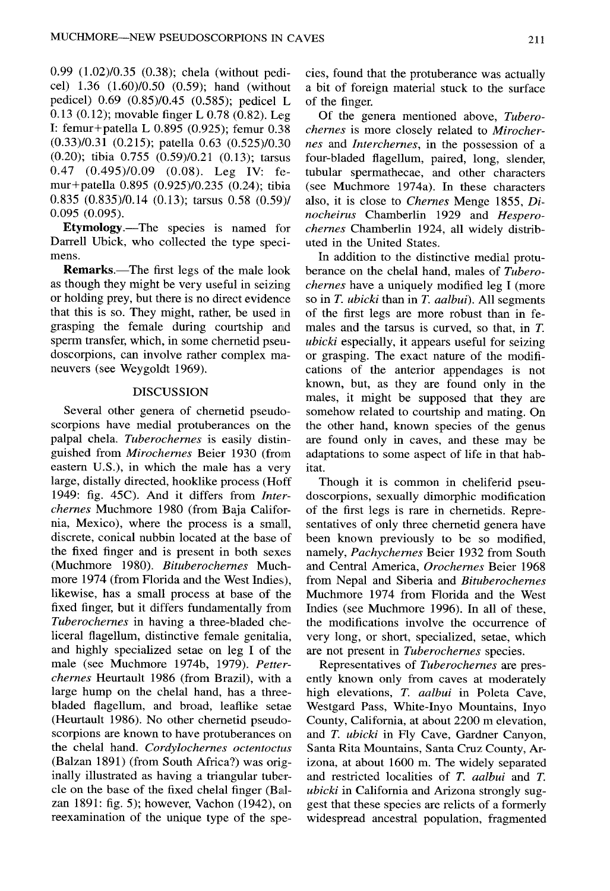0.99 (1.02)/0.35 (0.38); chela (without pedicel) 1.36 (1 .60)/0.50 (0.59); hand (without pedicel) 0.69 (0.85)/0.45 (0.585); pedicel L 0.13 (0.12); movable finger L 0.78 (0.82). Leg I: femur+patella L 0 .895 (0.925); femur 0.38 (0.33)/0.31 (0.215); patella 0.63 (0.525)/0.30 (0.20) ; tibia 0.755 (0.59)/0.21 (0.13); tarsus  $0.47$   $(0.495)/0.09$   $(0.08)$ . Leg IV: femur+patella 0.895 (0.925)/0.235 (0.24); tibia 0.835 (0.835)/0.14 (0.13); tarsus 0.58 (0.59) / 0.095 (0.095) .

**Etymology.**—The species is named for Darrell Ubick, who collected the type specimens.

**Remarks .**—The first legs of the male look as though they might be very useful in seizing or holding prey, but there is no direct evidence that this is so. They might, rather, be used in grasping the female during courtship and sperm transfer, which, in some chernetid pseudoscorpions, can involve rather complex maneuvers (see Weygoldt 1969).

#### DISCUSSION

Several other genera of chernetid pseudoscorpions have medial protuberances on the palpal chela. *Tuberochernes is* easily distinguished from *Mirochernes* Beier 1930 (from eastern U.S.), in which the male has a very large, distally directed, hooklike process (Hoff 1949: fig. 45C). And it differs from *Interchernes* Muchmore 1980 (from Baja California, Mexico), where the process is a small, discrete, conical nubbin located at the base of the fixed finger and is present in both sexes (Muchmore 1980) . *Bituberochernes* Muchmore 1974 (from Florida and the West Indies), likewise, has a small process at base of the fixed finger, but it differs fundamentally from *Tuberochernes* in having a three-bladed cheliceral flagellum, distinctive female genitalia, and highly specialized setae on leg I of the male (see Muchmore 1974b, 1979). *Petterchernes* Heurtault 1986 (from Brazil), with a large hump on the chelal hand, has a threebladed flagellum, and broad, leaflike setae (Heurtault 1986). No other chernetid pseudoscorpions are known to have protuberances on the chelal hand. *Cordylochernes octentoctus* (Balzan 1891) (from South Africa?) was originally illustrated as having a triangular tubercle on the base of the fixed chelal finger (Balzan 1891: fig. 5); however, Vachon (1942), on reexamination of the unique type of the spe - cies, found that the protuberance was actually a bit of foreign material stuck to the surface of the finger.

Of the genera mentioned above, *Tuberochernes is* more closely related to *Mirochernes* and *Interchernes,* in the possession of a four-bladed flagellum, paired, long, slender, tubular spermathecae, and other characters (see Muchmore 1974a). In these characters also, it is close to *Chernes* Menge 1855, *Dinocheirus* Chamberlin 1929 and *Hesperochernes* Chamberlin 1924, all widely distributed in the United States.

In addition to the distinctive medial protuberance on the chelal hand, males of *Tuberochernes* have a uniquely modified leg I (more so in *T. ubicki* than in *T. aalbui*). All segments of the first legs are more robust than in females and the tarsus is curved, so that, in *T. ubicki* especially, it appears useful for seizing or grasping. The exact nature of the modifications of the anterior appendages is not known, but, as they are found only in the males, it might be supposed that they are somehow related to courtship and mating. On the other hand, known species of the genus are found only in caves, and these may be adaptations to some aspect of life in that habitat.

Though it is common in cheliferid pseudoscorpions, sexually dimorphic modification of the first legs is rare in chernetids . Representatives of only three chernetid genera have been known previously to be so modified, namely, Pachychernes Beier 1932 from South and Central America, *Orochernes* Beier 1968 from Nepal and Siberia and *Bituberochernes* Muchmore 1974 from Florida and the West Indies (see Muchmore 1996). In all of these, the modifications involve the occurrence of very long, or short, specialized, setae, which are not present in *Tuberochernes* species .

Representatives of *Tuberochernes* are presently known only from caves at moderately high elevations, *T. aalbui* in Poleta Cave, Westgard Pass, White-Inyo Mountains, Inyo County, California, at about 2200 m elevation, and *T. ubicki* in Fly Cave, Gardner Canyon, Santa Rita Mountains, Santa Cruz County, Arizona, at about 1600 m. The widely separated and restricted localities of *T. aalbui* and *T. ubicki* in California and Arizona strongly suggest that these species are relicts of a formerly widespread ancestral population, fragmented